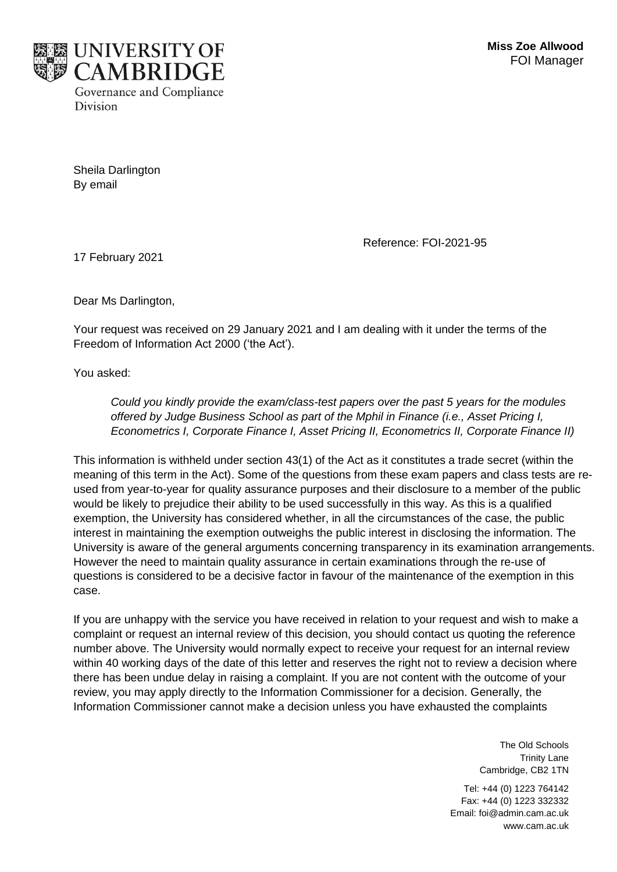

Sheila Darlington By email

Reference: FOI-2021-95

17 February 2021

Dear Ms Darlington,

Your request was received on 29 January 2021 and I am dealing with it under the terms of the Freedom of Information Act 2000 ('the Act').

You asked:

*Could you kindly provide the exam/class-test papers over the past 5 years for the modules offered by Judge Business School as part of the Mphil in Finance (i.e., Asset Pricing I, Econometrics I, Corporate Finance I, Asset Pricing II, Econometrics II, Corporate Finance II)*

This information is withheld under section 43(1) of the Act as it constitutes a trade secret (within the meaning of this term in the Act). Some of the questions from these exam papers and class tests are reused from year-to-year for quality assurance purposes and their disclosure to a member of the public would be likely to prejudice their ability to be used successfully in this way. As this is a qualified exemption, the University has considered whether, in all the circumstances of the case, the public interest in maintaining the exemption outweighs the public interest in disclosing the information. The University is aware of the general arguments concerning transparency in its examination arrangements. However the need to maintain quality assurance in certain examinations through the re-use of questions is considered to be a decisive factor in favour of the maintenance of the exemption in this case.

If you are unhappy with the service you have received in relation to your request and wish to make a complaint or request an internal review of this decision, you should contact us quoting the reference number above. The University would normally expect to receive your request for an internal review within 40 working days of the date of this letter and reserves the right not to review a decision where there has been undue delay in raising a complaint. If you are not content with the outcome of your review, you may apply directly to the Information Commissioner for a decision. Generally, the Information Commissioner cannot make a decision unless you have exhausted the complaints

> The Old Schools Trinity Lane Cambridge, CB2 1TN

Tel: +44 (0) 1223 764142 Fax: +44 (0) 1223 332332 Email: foi@admin.cam.ac.uk www.cam.ac.uk